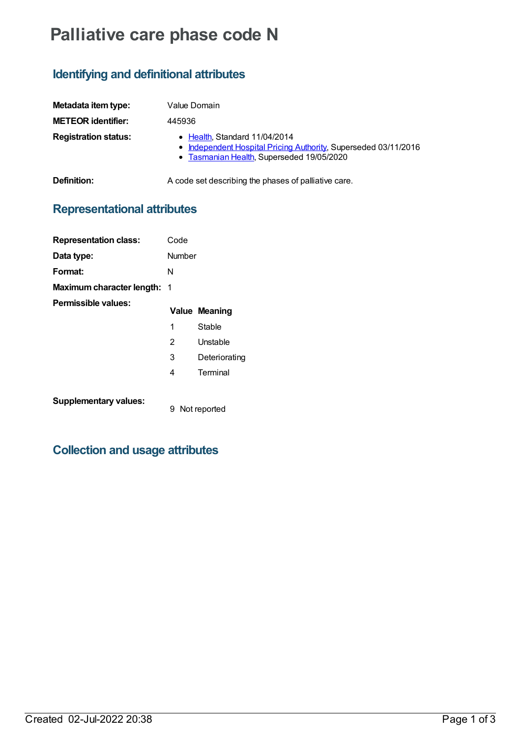# **Palliative care phase code N**

### **Identifying and definitional attributes**

| Metadata item type:         | Value Domain                                                                                                                                  |
|-----------------------------|-----------------------------------------------------------------------------------------------------------------------------------------------|
| <b>METEOR identifier:</b>   | 445936                                                                                                                                        |
| <b>Registration status:</b> | • Health, Standard 11/04/2014<br>• Independent Hospital Pricing Authority, Superseded 03/11/2016<br>• Tasmanian Health, Superseded 19/05/2020 |
| Definition:                 | A code set describing the phases of palliative care.                                                                                          |

## **Representational attributes**

| <b>Representation class:</b>       | Code              |                      |
|------------------------------------|-------------------|----------------------|
| Data type:                         | Number            |                      |
| Format:                            | N                 |                      |
| <b>Maximum character length: 1</b> |                   |                      |
| Permissible values:                |                   | <b>Value Meaning</b> |
|                                    | 1                 | Stable               |
|                                    | 2                 | Unstable             |
|                                    | 3                 | Deteriorating        |
|                                    | 4                 | Terminal             |
| <b>Supplementary values:</b>       | 9<br>Not reported |                      |

### **Collection and usage attributes**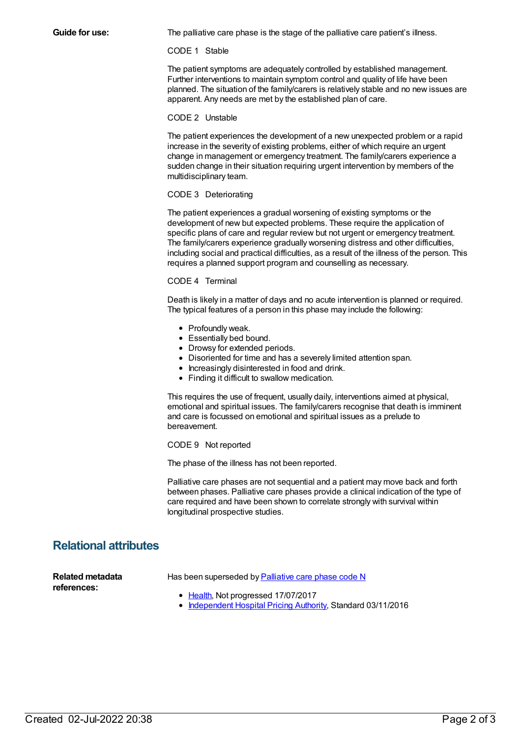**Guide for use:** The palliative care phase is the stage of the palliative care patient's illness.

#### CODE 1 Stable

The patient symptoms are adequately controlled by established management. Further interventions to maintain symptom control and quality of life have been planned. The situation of the family/carers is relatively stable and no new issues are apparent. Any needs are met by the established plan of care.

#### CODE 2 Unstable

The patient experiences the development of a new unexpected problem or a rapid increase in the severity of existing problems, either of which require an urgent change in management or emergency treatment. The family/carers experience a sudden change in their situation requiring urgent intervention by members of the multidisciplinary team.

#### CODE 3 Deteriorating

The patient experiences a gradual worsening of existing symptoms or the development of new but expected problems. These require the application of specific plans of care and regular review but not urgent or emergency treatment. The family/carers experience gradually worsening distress and other difficulties, including social and practical difficulties, as a result of the illness of the person. This requires a planned support program and counselling as necessary.

#### CODE 4 Terminal

Death is likely in a matter of days and no acute intervention is planned or required. The typical features of a person in this phase may include the following:

- Profoundly weak.
- Essentially bed bound.
- Drowsy for extended periods.
- Disoriented for time and has a severely limited attention span.
- Increasingly disinterested in food and drink.
- Finding it difficult to swallow medication.

This requires the use of frequent, usually daily, interventions aimed at physical, emotional and spiritual issues. The family/carers recognise that death is imminent and care is focussed on emotional and spiritual issues as a prelude to bereavement.

CODE 9 Not reported

The phase of the illness has not been reported.

Palliative care phases are not sequential and a patient may move back and forth between phases. Palliative care phases provide a clinical indication of the type of care required and have been shown to correlate strongly with survival within longitudinal prospective studies.

### **Relational attributes**

Has been superseded by **[Palliative](https://meteor.aihw.gov.au/content/639015) care phase code N** 

- **Related metadata references:**
- [Health](https://meteor.aihw.gov.au/RegistrationAuthority/12), Not progressed 17/07/2017
- [Independent](https://meteor.aihw.gov.au/RegistrationAuthority/3) Hospital Pricing Authority, Standard 03/11/2016